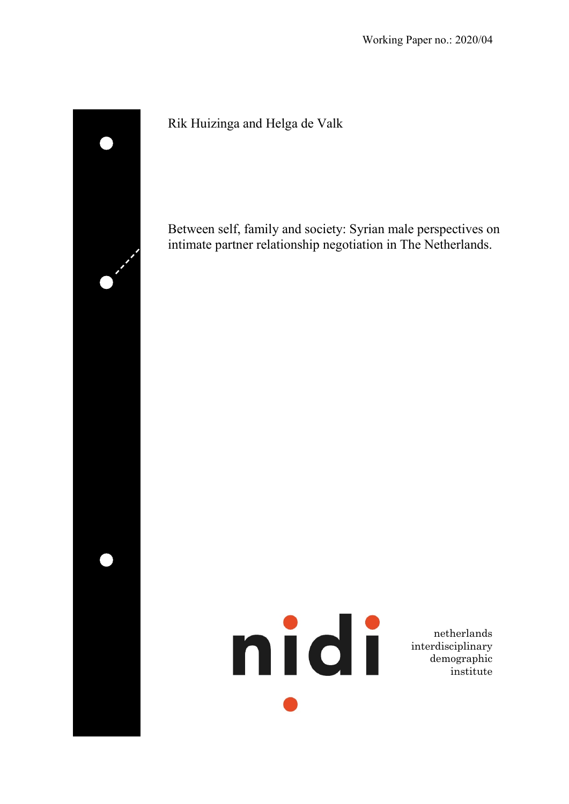

Rik Huizinga and Helga de Valk

Between self, family and society: Syrian male perspectives on intimate partner relationship negotiation in The Netherlands.



netherlands interdisciplinary demographic institute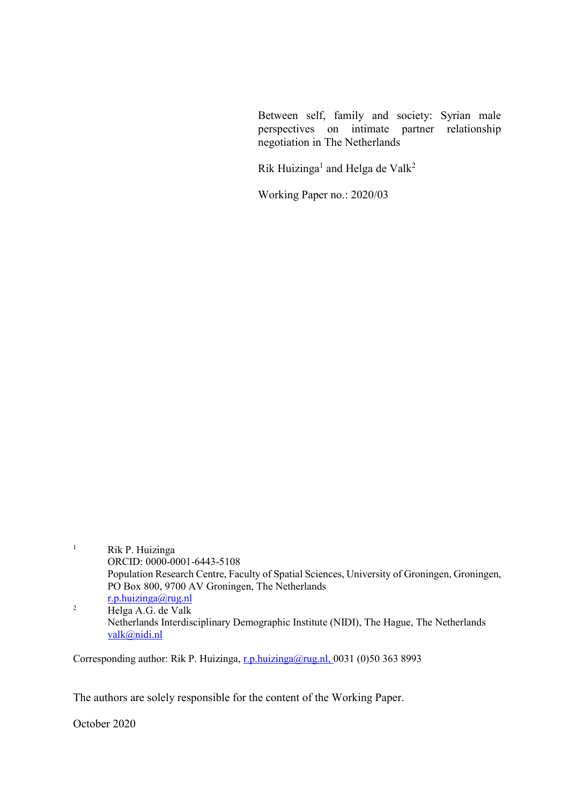Between self, family and society: Syrian male perspectives on intimate partner relationship negotiation in The Netherlands

Rik Huizinga<sup>1</sup> and Helga de Valk<sup>2</sup>

Working Paper no.: 2020/03

- <sup>1</sup> Rik P. Huizinga ORCID: 0000-0001-6443-5108 Population Research Centre, Faculty of Spatial Sciences, University of Groningen, Groningen, PO Box 800, 9700 AV Groningen, The Netherlands [r.p.huizinga@rug.nl](mailto:r.p.huizinga@rug.nl) <sup>2</sup> Helga A.G. de Valk
- Netherlands Interdisciplinary Demographic Institute (NIDI), The Hague, The Netherlands [valk@nidi.nl](mailto:b.van.hoven@rug.nl)

Corresponding author: Rik P. Huizinga, [r.p.huizinga@rug.nl,](mailto:r.p.huizinga@rug.nl) 0031 (0)50 363 8993

The authors are solely responsible for the content of the Working Paper.

October 2020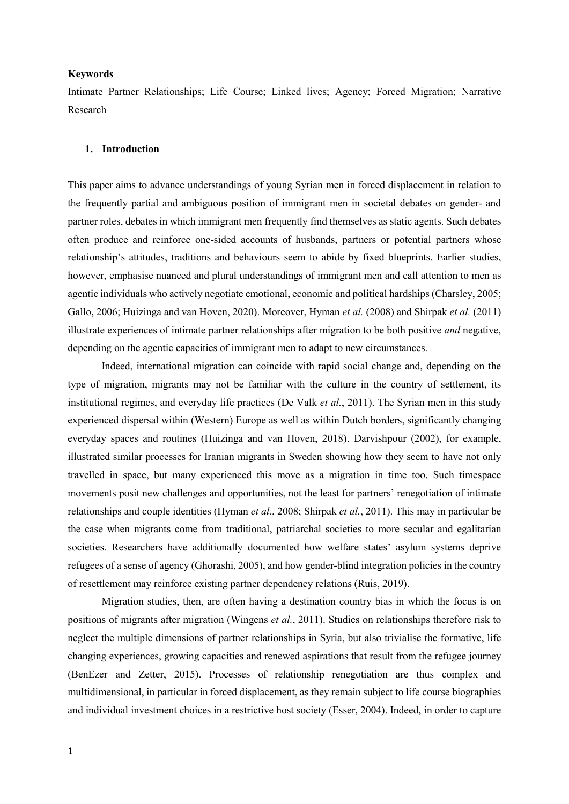### **Keywords**

Intimate Partner Relationships; Life Course; Linked lives; Agency; Forced Migration; Narrative Research

### **1. Introduction**

This paper aims to advance understandings of young Syrian men in forced displacement in relation to the frequently partial and ambiguous position of immigrant men in societal debates on gender- and partner roles, debates in which immigrant men frequently find themselves as static agents. Such debates often produce and reinforce one-sided accounts of husbands, partners or potential partners whose relationship's attitudes, traditions and behaviours seem to abide by fixed blueprints. Earlier studies, however, emphasise nuanced and plural understandings of immigrant men and call attention to men as agentic individuals who actively negotiate emotional, economic and political hardships (Charsley, 2005; Gallo, 2006; Huizinga and van Hoven, 2020). Moreover, Hyman *et al.* (2008) and Shirpak *et al.* (2011) illustrate experiences of intimate partner relationships after migration to be both positive *and* negative, depending on the agentic capacities of immigrant men to adapt to new circumstances.

Indeed, international migration can coincide with rapid social change and, depending on the type of migration, migrants may not be familiar with the culture in the country of settlement, its institutional regimes, and everyday life practices (De Valk *et al.*, 2011). The Syrian men in this study experienced dispersal within (Western) Europe as well as within Dutch borders, significantly changing everyday spaces and routines (Huizinga and van Hoven, 2018). Darvishpour (2002), for example, illustrated similar processes for Iranian migrants in Sweden showing how they seem to have not only travelled in space, but many experienced this move as a migration in time too. Such timespace movements posit new challenges and opportunities, not the least for partners' renegotiation of intimate relationships and couple identities (Hyman *et al*., 2008; Shirpak *et al.*, 2011). This may in particular be the case when migrants come from traditional, patriarchal societies to more secular and egalitarian societies. Researchers have additionally documented how welfare states' asylum systems deprive refugees of a sense of agency (Ghorashi, 2005), and how gender-blind integration policies in the country of resettlement may reinforce existing partner dependency relations (Ruis, 2019).

Migration studies, then, are often having a destination country bias in which the focus is on positions of migrants after migration (Wingens *et al.*, 2011). Studies on relationships therefore risk to neglect the multiple dimensions of partner relationships in Syria, but also trivialise the formative, life changing experiences, growing capacities and renewed aspirations that result from the refugee journey (BenEzer and Zetter, 2015). Processes of relationship renegotiation are thus complex and multidimensional, in particular in forced displacement, as they remain subject to life course biographies and individual investment choices in a restrictive host society (Esser, 2004). Indeed, in order to capture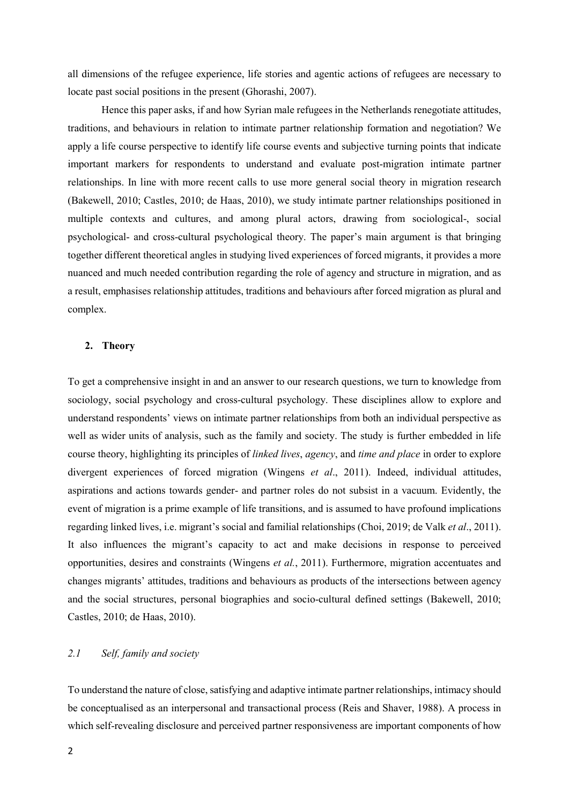all dimensions of the refugee experience, life stories and agentic actions of refugees are necessary to locate past social positions in the present (Ghorashi, 2007).

Hence this paper asks, if and how Syrian male refugees in the Netherlands renegotiate attitudes, traditions, and behaviours in relation to intimate partner relationship formation and negotiation? We apply a life course perspective to identify life course events and subjective turning points that indicate important markers for respondents to understand and evaluate post-migration intimate partner relationships. In line with more recent calls to use more general social theory in migration research (Bakewell, 2010; Castles, 2010; de Haas, 2010), we study intimate partner relationships positioned in multiple contexts and cultures, and among plural actors, drawing from sociological-, social psychological- and cross-cultural psychological theory. The paper's main argument is that bringing together different theoretical angles in studying lived experiences of forced migrants, it provides a more nuanced and much needed contribution regarding the role of agency and structure in migration, and as a result, emphasises relationship attitudes, traditions and behaviours after forced migration as plural and complex.

### **2. Theory**

To get a comprehensive insight in and an answer to our research questions, we turn to knowledge from sociology, social psychology and cross-cultural psychology. These disciplines allow to explore and understand respondents' views on intimate partner relationships from both an individual perspective as well as wider units of analysis, such as the family and society. The study is further embedded in life course theory, highlighting its principles of *linked lives*, *agency*, and *time and place* in order to explore divergent experiences of forced migration (Wingens *et al*., 2011). Indeed, individual attitudes, aspirations and actions towards gender- and partner roles do not subsist in a vacuum. Evidently, the event of migration is a prime example of life transitions, and is assumed to have profound implications regarding linked lives, i.e. migrant's social and familial relationships (Choi, 2019; de Valk *et al*., 2011). It also influences the migrant's capacity to act and make decisions in response to perceived opportunities, desires and constraints (Wingens *et al.*, 2011). Furthermore, migration accentuates and changes migrants' attitudes, traditions and behaviours as products of the intersections between agency and the social structures, personal biographies and socio-cultural defined settings (Bakewell, 2010; Castles, 2010; de Haas, 2010).

# *2.1 Self, family and society*

To understand the nature of close, satisfying and adaptive intimate partner relationships, intimacy should be conceptualised as an interpersonal and transactional process (Reis and Shaver, 1988). A process in which self-revealing disclosure and perceived partner responsiveness are important components of how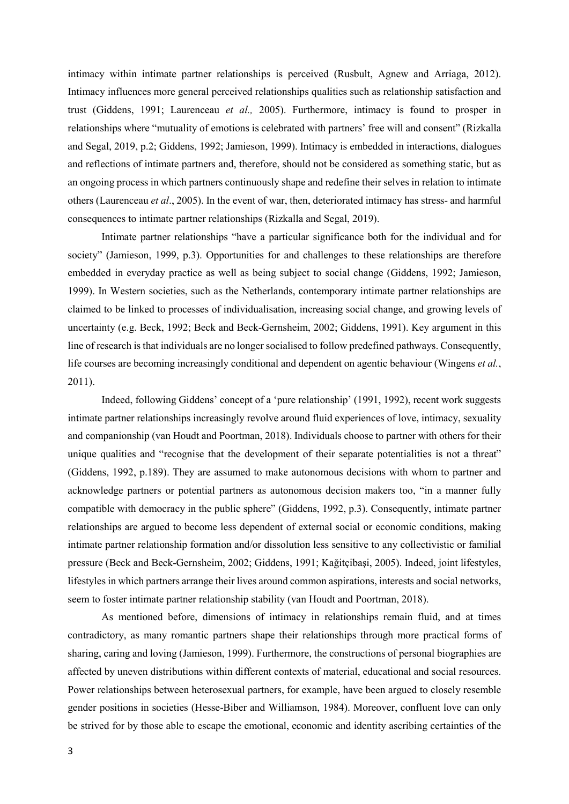intimacy within intimate partner relationships is perceived (Rusbult, Agnew and Arriaga, 2012). Intimacy influences more general perceived relationships qualities such as relationship satisfaction and trust (Giddens, 1991; Laurenceau *et al.,* 2005). Furthermore, intimacy is found to prosper in relationships where "mutuality of emotions is celebrated with partners' free will and consent" (Rizkalla and Segal, 2019, p.2; Giddens, 1992; Jamieson, 1999). Intimacy is embedded in interactions, dialogues and reflections of intimate partners and, therefore, should not be considered as something static, but as an ongoing process in which partners continuously shape and redefine their selves in relation to intimate others (Laurenceau *et al*., 2005). In the event of war, then, deteriorated intimacy has stress- and harmful consequences to intimate partner relationships (Rizkalla and Segal, 2019).

Intimate partner relationships "have a particular significance both for the individual and for society" (Jamieson, 1999, p.3). Opportunities for and challenges to these relationships are therefore embedded in everyday practice as well as being subject to social change (Giddens, 1992; Jamieson, 1999). In Western societies, such as the Netherlands, contemporary intimate partner relationships are claimed to be linked to processes of individualisation, increasing social change, and growing levels of uncertainty (e.g. Beck, 1992; Beck and Beck-Gernsheim, 2002; Giddens, 1991). Key argument in this line of research is that individuals are no longer socialised to follow predefined pathways. Consequently, life courses are becoming increasingly conditional and dependent on agentic behaviour (Wingens *et al.*, 2011).

Indeed, following Giddens' concept of a 'pure relationship' (1991, 1992), recent work suggests intimate partner relationships increasingly revolve around fluid experiences of love, intimacy, sexuality and companionship (van Houdt and Poortman, 2018). Individuals choose to partner with others for their unique qualities and "recognise that the development of their separate potentialities is not a threat" (Giddens, 1992, p.189). They are assumed to make autonomous decisions with whom to partner and acknowledge partners or potential partners as autonomous decision makers too, "in a manner fully compatible with democracy in the public sphere" (Giddens, 1992, p.3). Consequently, intimate partner relationships are argued to become less dependent of external social or economic conditions, making intimate partner relationship formation and/or dissolution less sensitive to any collectivistic or familial pressure (Beck and Beck-Gernsheim, 2002; Giddens, 1991; Kağitçibaşi, 2005). Indeed, joint lifestyles, lifestyles in which partners arrange their lives around common aspirations, interests and social networks, seem to foster intimate partner relationship stability (van Houdt and Poortman, 2018).

As mentioned before, dimensions of intimacy in relationships remain fluid, and at times contradictory, as many romantic partners shape their relationships through more practical forms of sharing, caring and loving (Jamieson, 1999). Furthermore, the constructions of personal biographies are affected by uneven distributions within different contexts of material, educational and social resources. Power relationships between heterosexual partners, for example, have been argued to closely resemble gender positions in societies (Hesse-Biber and Williamson, 1984). Moreover, confluent love can only be strived for by those able to escape the emotional, economic and identity ascribing certainties of the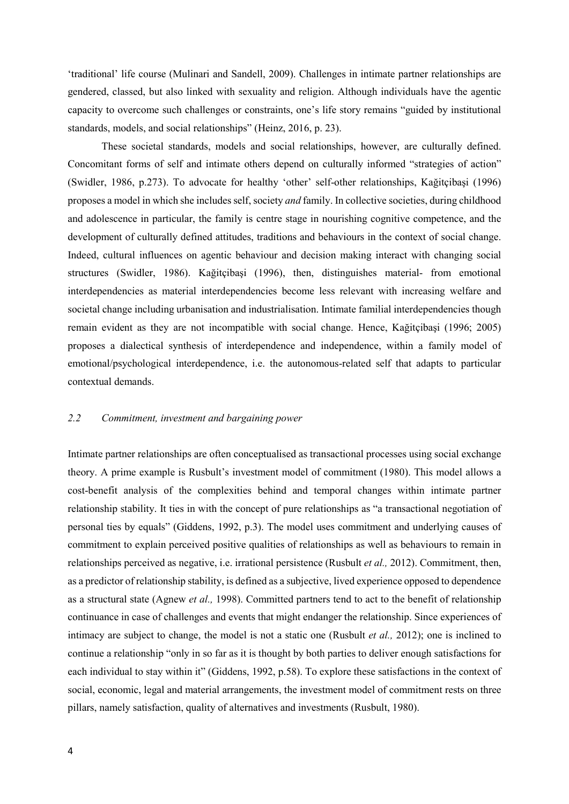'traditional' life course (Mulinari and Sandell, 2009). Challenges in intimate partner relationships are gendered, classed, but also linked with sexuality and religion. Although individuals have the agentic capacity to overcome such challenges or constraints, one's life story remains "guided by institutional standards, models, and social relationships" (Heinz, 2016, p. 23).

These societal standards, models and social relationships, however, are culturally defined. Concomitant forms of self and intimate others depend on culturally informed "strategies of action" (Swidler, 1986, p.273). To advocate for healthy 'other' self-other relationships, Kağitçibaşi (1996) proposes a model in which she includes self, society *and* family. In collective societies, during childhood and adolescence in particular, the family is centre stage in nourishing cognitive competence, and the development of culturally defined attitudes, traditions and behaviours in the context of social change. Indeed, cultural influences on agentic behaviour and decision making interact with changing social structures (Swidler, 1986). Kağitçibaşi (1996), then, distinguishes material- from emotional interdependencies as material interdependencies become less relevant with increasing welfare and societal change including urbanisation and industrialisation. Intimate familial interdependencies though remain evident as they are not incompatible with social change. Hence, Kağitçibaşi (1996; 2005) proposes a dialectical synthesis of interdependence and independence, within a family model of emotional/psychological interdependence, i.e. the autonomous-related self that adapts to particular contextual demands.

### *2.2 Commitment, investment and bargaining power*

Intimate partner relationships are often conceptualised as transactional processes using social exchange theory. A prime example is Rusbult's investment model of commitment (1980). This model allows a cost-benefit analysis of the complexities behind and temporal changes within intimate partner relationship stability. It ties in with the concept of pure relationships as "a transactional negotiation of personal ties by equals" (Giddens, 1992, p.3). The model uses commitment and underlying causes of commitment to explain perceived positive qualities of relationships as well as behaviours to remain in relationships perceived as negative, i.e. irrational persistence (Rusbult *et al.,* 2012). Commitment, then, as a predictor of relationship stability, is defined as a subjective, lived experience opposed to dependence as a structural state (Agnew *et al.,* 1998). Committed partners tend to act to the benefit of relationship continuance in case of challenges and events that might endanger the relationship. Since experiences of intimacy are subject to change, the model is not a static one (Rusbult *et al.,* 2012); one is inclined to continue a relationship "only in so far as it is thought by both parties to deliver enough satisfactions for each individual to stay within it" (Giddens, 1992, p.58). To explore these satisfactions in the context of social, economic, legal and material arrangements, the investment model of commitment rests on three pillars, namely satisfaction, quality of alternatives and investments (Rusbult, 1980).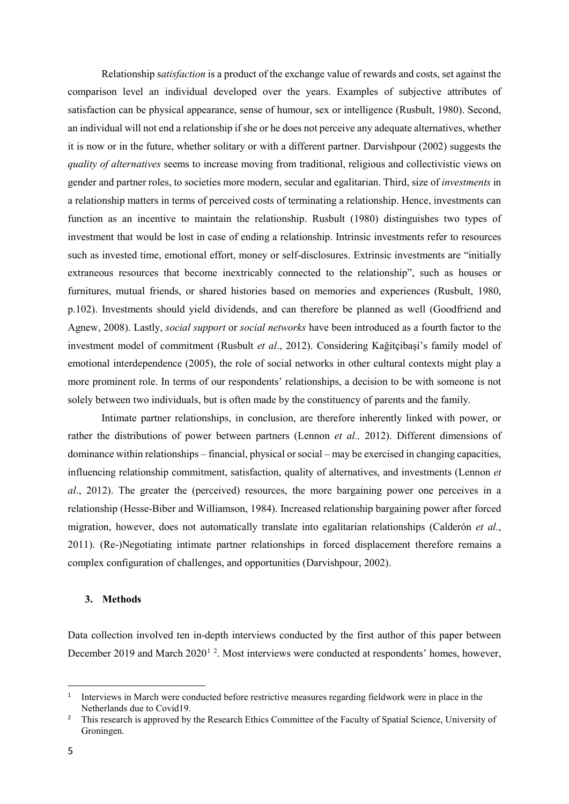Relationship s*atisfaction* is a product of the exchange value of rewards and costs, set against the comparison level an individual developed over the years. Examples of subjective attributes of satisfaction can be physical appearance, sense of humour, sex or intelligence (Rusbult, 1980). Second, an individual will not end a relationship if she or he does not perceive any adequate alternatives, whether it is now or in the future, whether solitary or with a different partner. Darvishpour (2002) suggests the *quality of alternatives* seems to increase moving from traditional, religious and collectivistic views on gender and partner roles, to societies more modern, secular and egalitarian. Third, size of *investments* in a relationship matters in terms of perceived costs of terminating a relationship. Hence, investments can function as an incentive to maintain the relationship. Rusbult (1980) distinguishes two types of investment that would be lost in case of ending a relationship. Intrinsic investments refer to resources such as invested time, emotional effort, money or self-disclosures. Extrinsic investments are "initially extraneous resources that become inextricably connected to the relationship", such as houses or furnitures, mutual friends, or shared histories based on memories and experiences (Rusbult, 1980, p.102). Investments should yield dividends, and can therefore be planned as well (Goodfriend and Agnew, 2008). Lastly, *social support* or *social networks* have been introduced as a fourth factor to the investment model of commitment (Rusbult *et al*., 2012). Considering Kağitçibaşi's family model of emotional interdependence (2005), the role of social networks in other cultural contexts might play a more prominent role. In terms of our respondents' relationships, a decision to be with someone is not solely between two individuals, but is often made by the constituency of parents and the family.

Intimate partner relationships, in conclusion, are therefore inherently linked with power, or rather the distributions of power between partners (Lennon *et al.,* 2012). Different dimensions of dominance within relationships – financial, physical or social – may be exercised in changing capacities, influencing relationship commitment, satisfaction, quality of alternatives, and investments (Lennon *et al*., 2012). The greater the (perceived) resources, the more bargaining power one perceives in a relationship (Hesse-Biber and Williamson, 1984). Increased relationship bargaining power after forced migration, however, does not automatically translate into egalitarian relationships (Calderón *et al.*, 2011). (Re-)Negotiating intimate partner relationships in forced displacement therefore remains a complex configuration of challenges, and opportunities (Darvishpour, 2002).

#### **3. Methods**

Data collection involved ten in-depth interviews conducted by the first author of this paper between December 20[1](#page-6-0)9 and March [2](#page-6-1)020<sup>1</sup><sup>2</sup>. Most interviews were conducted at respondents' homes, however,

<span id="page-6-0"></span> <sup>1</sup> Interviews in March were conducted before restrictive measures regarding fieldwork were in place in the Netherlands due to Covid19.

<span id="page-6-1"></span><sup>&</sup>lt;sup>2</sup> This research is approved by the Research Ethics Committee of the Faculty of Spatial Science, University of Groningen.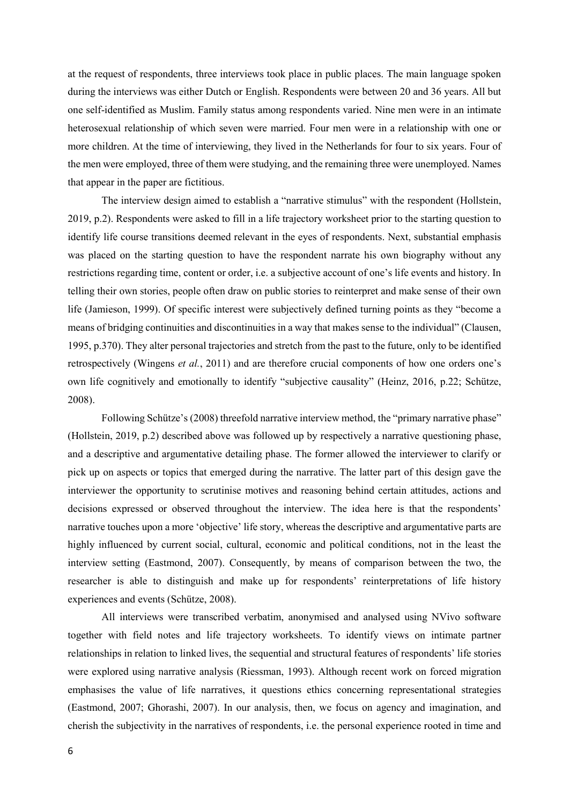at the request of respondents, three interviews took place in public places. The main language spoken during the interviews was either Dutch or English. Respondents were between 20 and 36 years. All but one self-identified as Muslim. Family status among respondents varied. Nine men were in an intimate heterosexual relationship of which seven were married. Four men were in a relationship with one or more children. At the time of interviewing, they lived in the Netherlands for four to six years. Four of the men were employed, three of them were studying, and the remaining three were unemployed. Names that appear in the paper are fictitious.

The interview design aimed to establish a "narrative stimulus" with the respondent (Hollstein, 2019, p.2). Respondents were asked to fill in a life trajectory worksheet prior to the starting question to identify life course transitions deemed relevant in the eyes of respondents. Next, substantial emphasis was placed on the starting question to have the respondent narrate his own biography without any restrictions regarding time, content or order, i.e. a subjective account of one's life events and history. In telling their own stories, people often draw on public stories to reinterpret and make sense of their own life (Jamieson, 1999). Of specific interest were subjectively defined turning points as they "become a means of bridging continuities and discontinuities in a way that makes sense to the individual" (Clausen, 1995, p.370). They alter personal trajectories and stretch from the past to the future, only to be identified retrospectively (Wingens *et al.*, 2011) and are therefore crucial components of how one orders one's own life cognitively and emotionally to identify "subjective causality" (Heinz, 2016, p.22; Schütze, 2008).

Following Schütze's (2008) threefold narrative interview method, the "primary narrative phase" (Hollstein, 2019, p.2) described above was followed up by respectively a narrative questioning phase, and a descriptive and argumentative detailing phase. The former allowed the interviewer to clarify or pick up on aspects or topics that emerged during the narrative. The latter part of this design gave the interviewer the opportunity to scrutinise motives and reasoning behind certain attitudes, actions and decisions expressed or observed throughout the interview. The idea here is that the respondents' narrative touches upon a more 'objective' life story, whereas the descriptive and argumentative parts are highly influenced by current social, cultural, economic and political conditions, not in the least the interview setting (Eastmond, 2007). Consequently, by means of comparison between the two, the researcher is able to distinguish and make up for respondents' reinterpretations of life history experiences and events (Schütze, 2008).

All interviews were transcribed verbatim, anonymised and analysed using NVivo software together with field notes and life trajectory worksheets. To identify views on intimate partner relationships in relation to linked lives, the sequential and structural features of respondents' life stories were explored using narrative analysis (Riessman, 1993). Although recent work on forced migration emphasises the value of life narratives, it questions ethics concerning representational strategies (Eastmond, 2007; Ghorashi, 2007). In our analysis, then, we focus on agency and imagination, and cherish the subjectivity in the narratives of respondents, i.e. the personal experience rooted in time and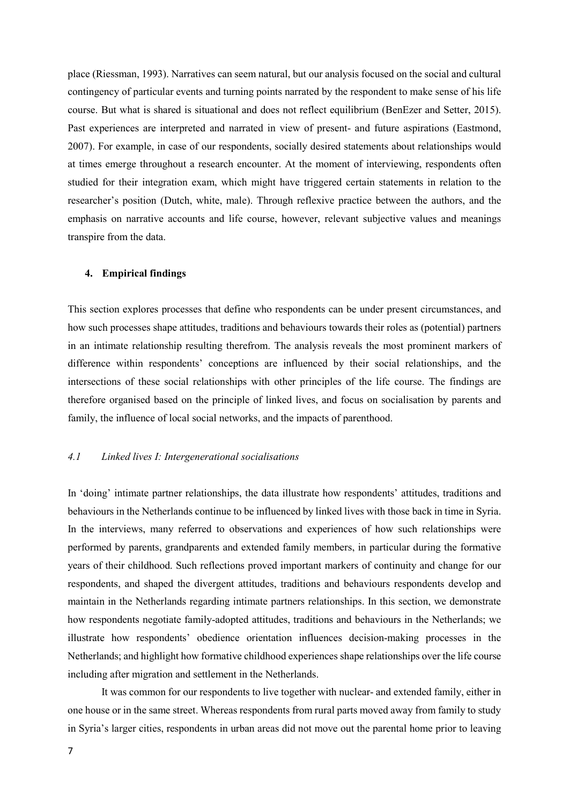place (Riessman, 1993). Narratives can seem natural, but our analysis focused on the social and cultural contingency of particular events and turning points narrated by the respondent to make sense of his life course. But what is shared is situational and does not reflect equilibrium (BenEzer and Setter, 2015). Past experiences are interpreted and narrated in view of present- and future aspirations (Eastmond, 2007). For example, in case of our respondents, socially desired statements about relationships would at times emerge throughout a research encounter. At the moment of interviewing, respondents often studied for their integration exam, which might have triggered certain statements in relation to the researcher's position (Dutch, white, male). Through reflexive practice between the authors, and the emphasis on narrative accounts and life course, however, relevant subjective values and meanings transpire from the data.

### **4. Empirical findings**

This section explores processes that define who respondents can be under present circumstances, and how such processes shape attitudes, traditions and behaviours towards their roles as (potential) partners in an intimate relationship resulting therefrom. The analysis reveals the most prominent markers of difference within respondents' conceptions are influenced by their social relationships, and the intersections of these social relationships with other principles of the life course. The findings are therefore organised based on the principle of linked lives, and focus on socialisation by parents and family, the influence of local social networks, and the impacts of parenthood.

## *4.1 Linked lives I: Intergenerational socialisations*

In 'doing' intimate partner relationships, the data illustrate how respondents' attitudes, traditions and behaviours in the Netherlands continue to be influenced by linked lives with those back in time in Syria. In the interviews, many referred to observations and experiences of how such relationships were performed by parents, grandparents and extended family members, in particular during the formative years of their childhood. Such reflections proved important markers of continuity and change for our respondents, and shaped the divergent attitudes, traditions and behaviours respondents develop and maintain in the Netherlands regarding intimate partners relationships. In this section, we demonstrate how respondents negotiate family-adopted attitudes, traditions and behaviours in the Netherlands; we illustrate how respondents' obedience orientation influences decision-making processes in the Netherlands; and highlight how formative childhood experiences shape relationships over the life course including after migration and settlement in the Netherlands.

It was common for our respondents to live together with nuclear- and extended family, either in one house or in the same street. Whereas respondents from rural parts moved away from family to study in Syria's larger cities, respondents in urban areas did not move out the parental home prior to leaving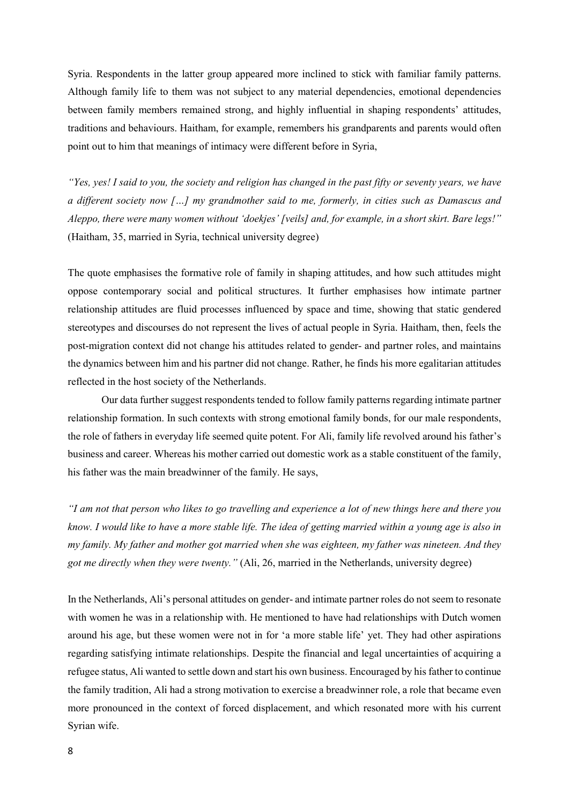Syria. Respondents in the latter group appeared more inclined to stick with familiar family patterns. Although family life to them was not subject to any material dependencies, emotional dependencies between family members remained strong, and highly influential in shaping respondents' attitudes, traditions and behaviours. Haitham, for example, remembers his grandparents and parents would often point out to him that meanings of intimacy were different before in Syria,

*"Yes, yes! I said to you, the society and religion has changed in the past fifty or seventy years, we have a different society now […] my grandmother said to me, formerly, in cities such as Damascus and Aleppo, there were many women without 'doekjes' [veils] and, for example, in a short skirt. Bare legs!"* (Haitham, 35, married in Syria, technical university degree)

The quote emphasises the formative role of family in shaping attitudes, and how such attitudes might oppose contemporary social and political structures. It further emphasises how intimate partner relationship attitudes are fluid processes influenced by space and time, showing that static gendered stereotypes and discourses do not represent the lives of actual people in Syria. Haitham, then, feels the post-migration context did not change his attitudes related to gender- and partner roles, and maintains the dynamics between him and his partner did not change. Rather, he finds his more egalitarian attitudes reflected in the host society of the Netherlands.

Our data further suggest respondents tended to follow family patterns regarding intimate partner relationship formation. In such contexts with strong emotional family bonds, for our male respondents, the role of fathers in everyday life seemed quite potent. For Ali, family life revolved around his father's business and career. Whereas his mother carried out domestic work as a stable constituent of the family, his father was the main breadwinner of the family. He says,

*"I am not that person who likes to go travelling and experience a lot of new things here and there you know. I would like to have a more stable life. The idea of getting married within a young age is also in my family. My father and mother got married when she was eighteen, my father was nineteen. And they got me directly when they were twenty."* (Ali, 26, married in the Netherlands, university degree)

In the Netherlands, Ali's personal attitudes on gender- and intimate partner roles do not seem to resonate with women he was in a relationship with. He mentioned to have had relationships with Dutch women around his age, but these women were not in for 'a more stable life' yet. They had other aspirations regarding satisfying intimate relationships. Despite the financial and legal uncertainties of acquiring a refugee status, Ali wanted to settle down and start his own business. Encouraged by his father to continue the family tradition, Ali had a strong motivation to exercise a breadwinner role, a role that became even more pronounced in the context of forced displacement, and which resonated more with his current Syrian wife.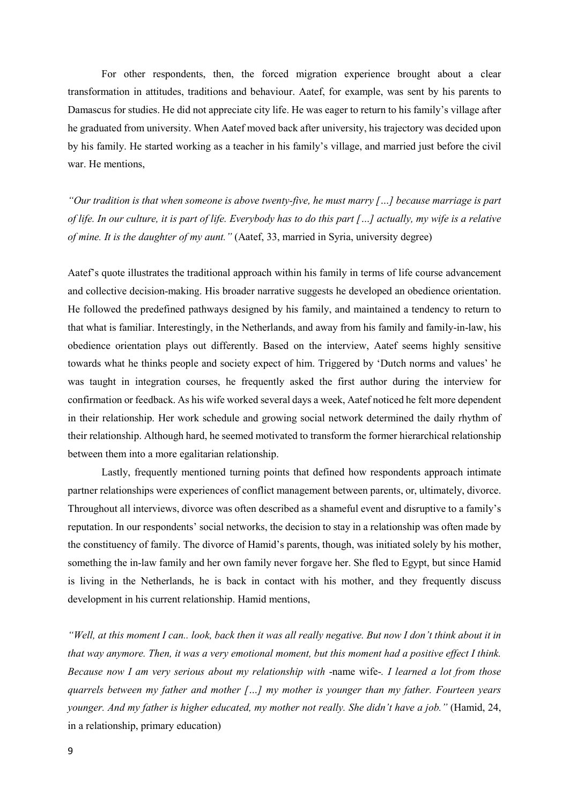For other respondents, then, the forced migration experience brought about a clear transformation in attitudes, traditions and behaviour. Aatef, for example, was sent by his parents to Damascus for studies. He did not appreciate city life. He was eager to return to his family's village after he graduated from university. When Aatef moved back after university, his trajectory was decided upon by his family. He started working as a teacher in his family's village, and married just before the civil war. He mentions,

*"Our tradition is that when someone is above twenty-five, he must marry […] because marriage is part of life. In our culture, it is part of life. Everybody has to do this part […] actually, my wife is a relative of mine. It is the daughter of my aunt."* (Aatef, 33, married in Syria, university degree)

Aatef's quote illustrates the traditional approach within his family in terms of life course advancement and collective decision-making. His broader narrative suggests he developed an obedience orientation. He followed the predefined pathways designed by his family, and maintained a tendency to return to that what is familiar. Interestingly, in the Netherlands, and away from his family and family-in-law, his obedience orientation plays out differently. Based on the interview, Aatef seems highly sensitive towards what he thinks people and society expect of him. Triggered by 'Dutch norms and values' he was taught in integration courses, he frequently asked the first author during the interview for confirmation or feedback. As his wife worked several days a week, Aatef noticed he felt more dependent in their relationship. Her work schedule and growing social network determined the daily rhythm of their relationship. Although hard, he seemed motivated to transform the former hierarchical relationship between them into a more egalitarian relationship.

Lastly, frequently mentioned turning points that defined how respondents approach intimate partner relationships were experiences of conflict management between parents, or, ultimately, divorce. Throughout all interviews, divorce was often described as a shameful event and disruptive to a family's reputation. In our respondents' social networks, the decision to stay in a relationship was often made by the constituency of family. The divorce of Hamid's parents, though, was initiated solely by his mother, something the in-law family and her own family never forgave her. She fled to Egypt, but since Hamid is living in the Netherlands, he is back in contact with his mother, and they frequently discuss development in his current relationship. Hamid mentions,

*"Well, at this moment I can.. look, back then it was all really negative. But now I don't think about it in that way anymore. Then, it was a very emotional moment, but this moment had a positive effect I think. Because now I am very serious about my relationship with* -name wife-*. I learned a lot from those quarrels between my father and mother […] my mother is younger than my father. Fourteen years younger. And my father is higher educated, my mother not really. She didn't have a job."* (Hamid, 24, in a relationship, primary education)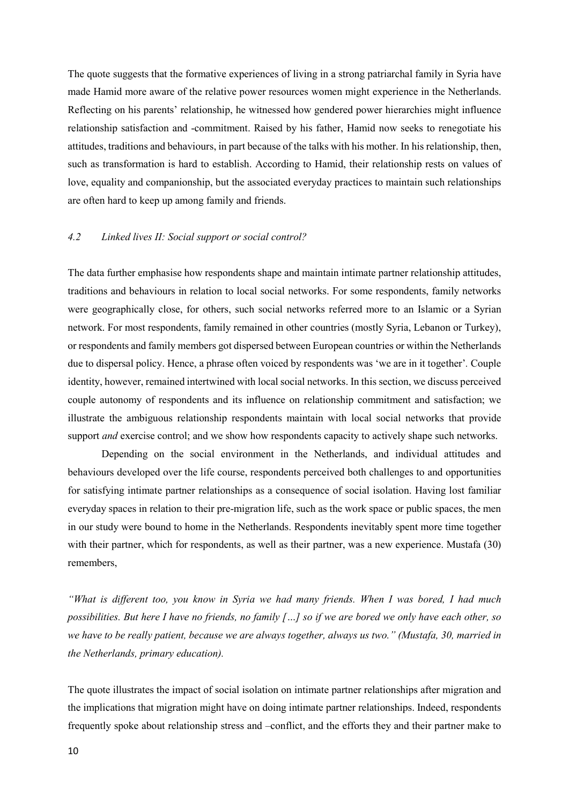The quote suggests that the formative experiences of living in a strong patriarchal family in Syria have made Hamid more aware of the relative power resources women might experience in the Netherlands. Reflecting on his parents' relationship, he witnessed how gendered power hierarchies might influence relationship satisfaction and -commitment. Raised by his father, Hamid now seeks to renegotiate his attitudes, traditions and behaviours, in part because of the talks with his mother. In his relationship, then, such as transformation is hard to establish. According to Hamid, their relationship rests on values of love, equality and companionship, but the associated everyday practices to maintain such relationships are often hard to keep up among family and friends.

## *4.2 Linked lives II: Social support or social control?*

The data further emphasise how respondents shape and maintain intimate partner relationship attitudes, traditions and behaviours in relation to local social networks. For some respondents, family networks were geographically close, for others, such social networks referred more to an Islamic or a Syrian network. For most respondents, family remained in other countries (mostly Syria, Lebanon or Turkey), or respondents and family members got dispersed between European countries or within the Netherlands due to dispersal policy. Hence, a phrase often voiced by respondents was 'we are in it together'*.* Couple identity, however, remained intertwined with local social networks. In this section, we discuss perceived couple autonomy of respondents and its influence on relationship commitment and satisfaction; we illustrate the ambiguous relationship respondents maintain with local social networks that provide support *and* exercise control; and we show how respondents capacity to actively shape such networks.

Depending on the social environment in the Netherlands, and individual attitudes and behaviours developed over the life course, respondents perceived both challenges to and opportunities for satisfying intimate partner relationships as a consequence of social isolation. Having lost familiar everyday spaces in relation to their pre-migration life, such as the work space or public spaces, the men in our study were bound to home in the Netherlands. Respondents inevitably spent more time together with their partner, which for respondents, as well as their partner, was a new experience. Mustafa (30) remembers,

*"What is different too, you know in Syria we had many friends. When I was bored, I had much possibilities. But here I have no friends, no family […] so if we are bored we only have each other, so we have to be really patient, because we are always together, always us two." (Mustafa, 30, married in the Netherlands, primary education).*

The quote illustrates the impact of social isolation on intimate partner relationships after migration and the implications that migration might have on doing intimate partner relationships. Indeed, respondents frequently spoke about relationship stress and –conflict, and the efforts they and their partner make to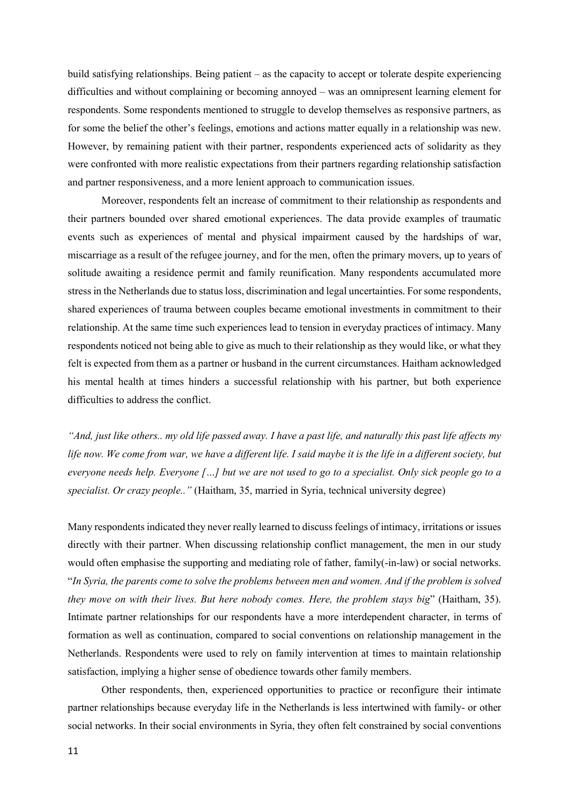build satisfying relationships. Being patient – as the capacity to accept or tolerate despite experiencing difficulties and without complaining or becoming annoyed – was an omnipresent learning element for respondents. Some respondents mentioned to struggle to develop themselves as responsive partners, as for some the belief the other's feelings, emotions and actions matter equally in a relationship was new. However, by remaining patient with their partner, respondents experienced acts of solidarity as they were confronted with more realistic expectations from their partners regarding relationship satisfaction and partner responsiveness, and a more lenient approach to communication issues.

Moreover, respondents felt an increase of commitment to their relationship as respondents and their partners bounded over shared emotional experiences. The data provide examples of traumatic events such as experiences of mental and physical impairment caused by the hardships of war, miscarriage as a result of the refugee journey, and for the men, often the primary movers, up to years of solitude awaiting a residence permit and family reunification. Many respondents accumulated more stress in the Netherlands due to status loss, discrimination and legal uncertainties. For some respondents, shared experiences of trauma between couples became emotional investments in commitment to their relationship. At the same time such experiences lead to tension in everyday practices of intimacy. Many respondents noticed not being able to give as much to their relationship as they would like, or what they felt is expected from them as a partner or husband in the current circumstances. Haitham acknowledged his mental health at times hinders a successful relationship with his partner, but both experience difficulties to address the conflict.

*"And, just like others.. my old life passed away. I have a past life, and naturally this past life affects my*  life now. We come from war, we have a different life. I said maybe it is the life in a different society, but *everyone needs help. Everyone […] but we are not used to go to a specialist. Only sick people go to a specialist. Or crazy people.."* (Haitham, 35, married in Syria, technical university degree)

Many respondents indicated they never really learned to discuss feelings of intimacy, irritations or issues directly with their partner. When discussing relationship conflict management, the men in our study would often emphasise the supporting and mediating role of father, family(-in-law) or social networks. "*In Syria, the parents come to solve the problems between men and women. And if the problem is solved they move on with their lives. But here nobody comes. Here, the problem stays big*" (Haitham, 35). Intimate partner relationships for our respondents have a more interdependent character, in terms of formation as well as continuation, compared to social conventions on relationship management in the Netherlands. Respondents were used to rely on family intervention at times to maintain relationship satisfaction, implying a higher sense of obedience towards other family members.

Other respondents, then, experienced opportunities to practice or reconfigure their intimate partner relationships because everyday life in the Netherlands is less intertwined with family- or other social networks. In their social environments in Syria, they often felt constrained by social conventions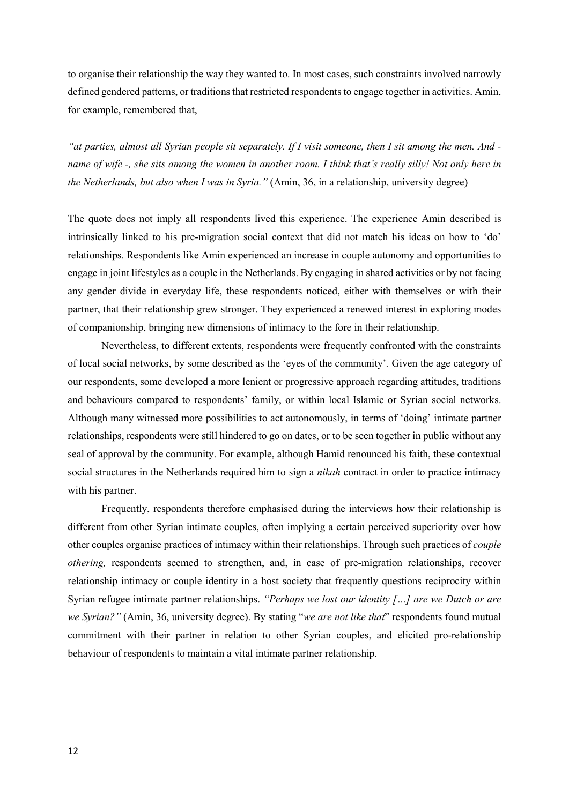to organise their relationship the way they wanted to. In most cases, such constraints involved narrowly defined gendered patterns, or traditions that restricted respondents to engage together in activities. Amin, for example, remembered that,

*"at parties, almost all Syrian people sit separately. If I visit someone, then I sit among the men. And name of wife -, she sits among the women in another room. I think that's really silly! Not only here in the Netherlands, but also when I was in Syria."* (Amin, 36, in a relationship, university degree)

The quote does not imply all respondents lived this experience. The experience Amin described is intrinsically linked to his pre-migration social context that did not match his ideas on how to 'do' relationships. Respondents like Amin experienced an increase in couple autonomy and opportunities to engage in joint lifestyles as a couple in the Netherlands. By engaging in shared activities or by not facing any gender divide in everyday life, these respondents noticed, either with themselves or with their partner, that their relationship grew stronger. They experienced a renewed interest in exploring modes of companionship, bringing new dimensions of intimacy to the fore in their relationship.

Nevertheless, to different extents, respondents were frequently confronted with the constraints of local social networks, by some described as the 'eyes of the community'*.* Given the age category of our respondents, some developed a more lenient or progressive approach regarding attitudes, traditions and behaviours compared to respondents' family, or within local Islamic or Syrian social networks. Although many witnessed more possibilities to act autonomously, in terms of 'doing' intimate partner relationships, respondents were still hindered to go on dates, or to be seen together in public without any seal of approval by the community. For example, although Hamid renounced his faith, these contextual social structures in the Netherlands required him to sign a *nikah* contract in order to practice intimacy with his partner.

Frequently, respondents therefore emphasised during the interviews how their relationship is different from other Syrian intimate couples, often implying a certain perceived superiority over how other couples organise practices of intimacy within their relationships. Through such practices of *couple othering,* respondents seemed to strengthen, and, in case of pre-migration relationships, recover relationship intimacy or couple identity in a host society that frequently questions reciprocity within Syrian refugee intimate partner relationships. *"Perhaps we lost our identity […] are we Dutch or are we Syrian?"* (Amin, 36, university degree). By stating "*we are not like that*" respondents found mutual commitment with their partner in relation to other Syrian couples, and elicited pro-relationship behaviour of respondents to maintain a vital intimate partner relationship.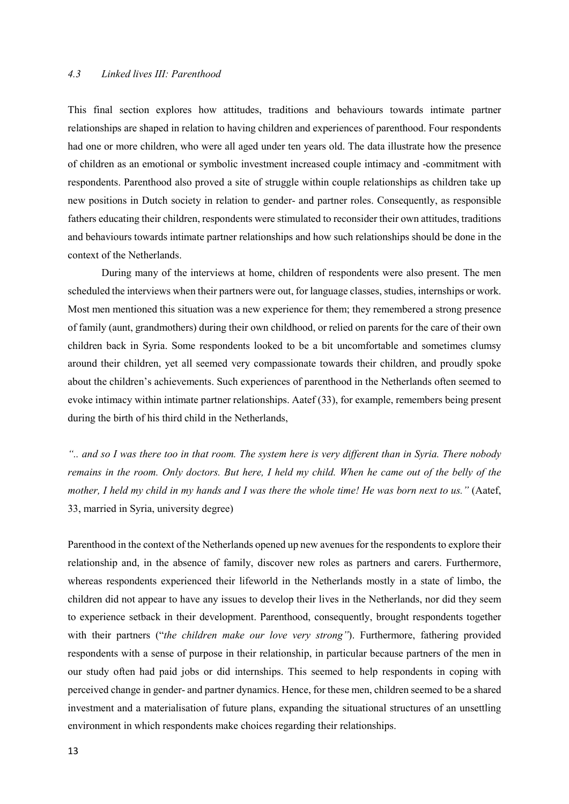## *4.3 Linked lives III: Parenthood*

This final section explores how attitudes, traditions and behaviours towards intimate partner relationships are shaped in relation to having children and experiences of parenthood. Four respondents had one or more children, who were all aged under ten years old. The data illustrate how the presence of children as an emotional or symbolic investment increased couple intimacy and -commitment with respondents. Parenthood also proved a site of struggle within couple relationships as children take up new positions in Dutch society in relation to gender- and partner roles. Consequently, as responsible fathers educating their children, respondents were stimulated to reconsider their own attitudes, traditions and behaviours towards intimate partner relationships and how such relationships should be done in the context of the Netherlands.

During many of the interviews at home, children of respondents were also present. The men scheduled the interviews when their partners were out, for language classes, studies, internships or work. Most men mentioned this situation was a new experience for them; they remembered a strong presence of family (aunt, grandmothers) during their own childhood, or relied on parents for the care of their own children back in Syria. Some respondents looked to be a bit uncomfortable and sometimes clumsy around their children, yet all seemed very compassionate towards their children, and proudly spoke about the children's achievements. Such experiences of parenthood in the Netherlands often seemed to evoke intimacy within intimate partner relationships. Aatef (33), for example, remembers being present during the birth of his third child in the Netherlands,

*".. and so I was there too in that room. The system here is very different than in Syria. There nobody remains in the room. Only doctors. But here, I held my child. When he came out of the belly of the mother, I held my child in my hands and I was there the whole time! He was born next to us."* (Aatef, 33, married in Syria, university degree)

Parenthood in the context of the Netherlands opened up new avenues for the respondents to explore their relationship and, in the absence of family, discover new roles as partners and carers. Furthermore, whereas respondents experienced their lifeworld in the Netherlands mostly in a state of limbo, the children did not appear to have any issues to develop their lives in the Netherlands, nor did they seem to experience setback in their development. Parenthood, consequently, brought respondents together with their partners ("*the children make our love very strong"*). Furthermore, fathering provided respondents with a sense of purpose in their relationship, in particular because partners of the men in our study often had paid jobs or did internships. This seemed to help respondents in coping with perceived change in gender- and partner dynamics. Hence, for these men, children seemed to be a shared investment and a materialisation of future plans, expanding the situational structures of an unsettling environment in which respondents make choices regarding their relationships.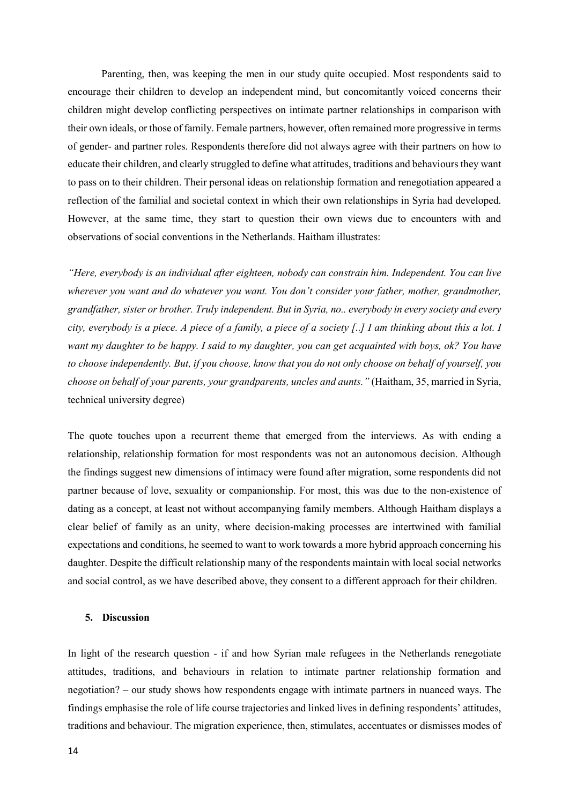Parenting, then, was keeping the men in our study quite occupied. Most respondents said to encourage their children to develop an independent mind, but concomitantly voiced concerns their children might develop conflicting perspectives on intimate partner relationships in comparison with their own ideals, or those of family. Female partners, however, often remained more progressive in terms of gender- and partner roles. Respondents therefore did not always agree with their partners on how to educate their children, and clearly struggled to define what attitudes, traditions and behaviours they want to pass on to their children. Their personal ideas on relationship formation and renegotiation appeared a reflection of the familial and societal context in which their own relationships in Syria had developed. However, at the same time, they start to question their own views due to encounters with and observations of social conventions in the Netherlands. Haitham illustrates:

*"Here, everybody is an individual after eighteen, nobody can constrain him. Independent. You can live wherever you want and do whatever you want. You don't consider your father, mother, grandmother, grandfather, sister or brother. Truly independent. But in Syria, no.. everybody in every society and every city, everybody is a piece. A piece of a family, a piece of a society [..] I am thinking about this a lot. I want my daughter to be happy. I said to my daughter, you can get acquainted with boys, ok? You have to choose independently. But, if you choose, know that you do not only choose on behalf of yourself, you choose on behalf of your parents, your grandparents, uncles and aunts."* (Haitham, 35, married in Syria, technical university degree)

The quote touches upon a recurrent theme that emerged from the interviews. As with ending a relationship, relationship formation for most respondents was not an autonomous decision. Although the findings suggest new dimensions of intimacy were found after migration, some respondents did not partner because of love, sexuality or companionship. For most, this was due to the non-existence of dating as a concept, at least not without accompanying family members. Although Haitham displays a clear belief of family as an unity, where decision-making processes are intertwined with familial expectations and conditions, he seemed to want to work towards a more hybrid approach concerning his daughter. Despite the difficult relationship many of the respondents maintain with local social networks and social control, as we have described above, they consent to a different approach for their children.

#### **5. Discussion**

In light of the research question - if and how Syrian male refugees in the Netherlands renegotiate attitudes, traditions, and behaviours in relation to intimate partner relationship formation and negotiation? – our study shows how respondents engage with intimate partners in nuanced ways. The findings emphasise the role of life course trajectories and linked lives in defining respondents' attitudes, traditions and behaviour. The migration experience, then, stimulates, accentuates or dismisses modes of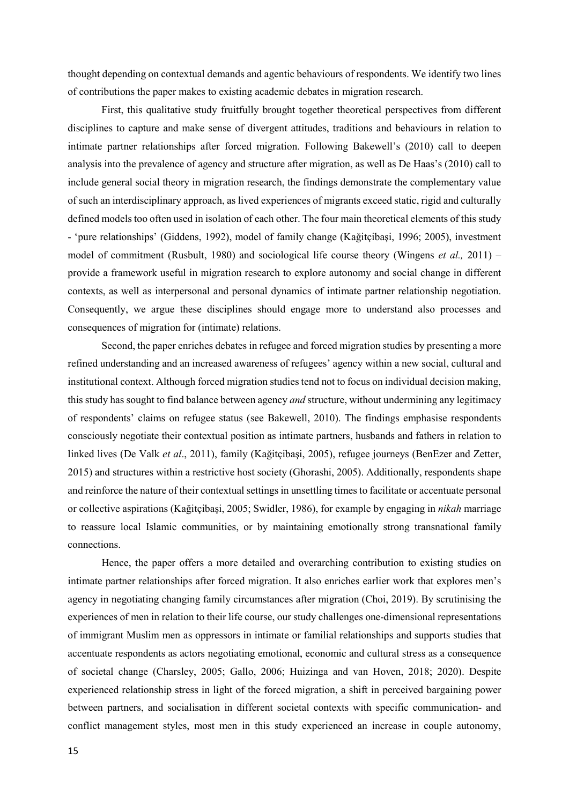thought depending on contextual demands and agentic behaviours of respondents. We identify two lines of contributions the paper makes to existing academic debates in migration research.

First, this qualitative study fruitfully brought together theoretical perspectives from different disciplines to capture and make sense of divergent attitudes, traditions and behaviours in relation to intimate partner relationships after forced migration. Following Bakewell's (2010) call to deepen analysis into the prevalence of agency and structure after migration, as well as De Haas's (2010) call to include general social theory in migration research, the findings demonstrate the complementary value of such an interdisciplinary approach, as lived experiences of migrants exceed static, rigid and culturally defined models too often used in isolation of each other. The four main theoretical elements of this study - 'pure relationships' (Giddens, 1992), model of family change (Kağitçibaşi, 1996; 2005), investment model of commitment (Rusbult, 1980) and sociological life course theory (Wingens *et al.,* 2011) – provide a framework useful in migration research to explore autonomy and social change in different contexts, as well as interpersonal and personal dynamics of intimate partner relationship negotiation. Consequently, we argue these disciplines should engage more to understand also processes and consequences of migration for (intimate) relations.

Second, the paper enriches debates in refugee and forced migration studies by presenting a more refined understanding and an increased awareness of refugees' agency within a new social, cultural and institutional context. Although forced migration studiestend not to focus on individual decision making, this study has sought to find balance between agency *and* structure, without undermining any legitimacy of respondents' claims on refugee status (see Bakewell, 2010). The findings emphasise respondents consciously negotiate their contextual position as intimate partners, husbands and fathers in relation to linked lives (De Valk *et al*., 2011), family (Kağitçibaşi, 2005), refugee journeys (BenEzer and Zetter, 2015) and structures within a restrictive host society (Ghorashi, 2005). Additionally, respondents shape and reinforce the nature of their contextual settings in unsettling times to facilitate or accentuate personal or collective aspirations (Kağitçibaşi, 2005; Swidler, 1986), for example by engaging in *nikah* marriage to reassure local Islamic communities, or by maintaining emotionally strong transnational family connections.

Hence, the paper offers a more detailed and overarching contribution to existing studies on intimate partner relationships after forced migration. It also enriches earlier work that explores men's agency in negotiating changing family circumstances after migration (Choi, 2019). By scrutinising the experiences of men in relation to their life course, our study challenges one-dimensional representations of immigrant Muslim men as oppressors in intimate or familial relationships and supports studies that accentuate respondents as actors negotiating emotional, economic and cultural stress as a consequence of societal change (Charsley, 2005; Gallo, 2006; Huizinga and van Hoven, 2018; 2020). Despite experienced relationship stress in light of the forced migration, a shift in perceived bargaining power between partners, and socialisation in different societal contexts with specific communication- and conflict management styles, most men in this study experienced an increase in couple autonomy,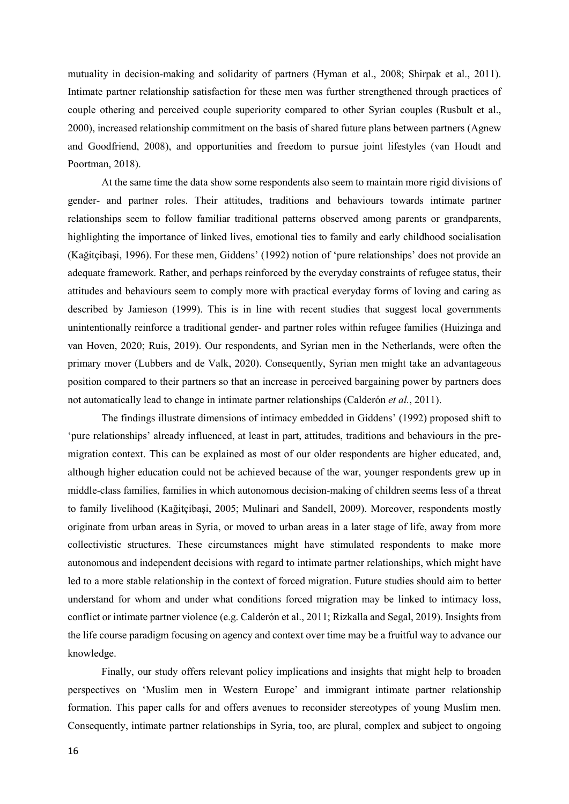mutuality in decision-making and solidarity of partners (Hyman et al., 2008; Shirpak et al., 2011). Intimate partner relationship satisfaction for these men was further strengthened through practices of couple othering and perceived couple superiority compared to other Syrian couples (Rusbult et al., 2000), increased relationship commitment on the basis of shared future plans between partners (Agnew and Goodfriend, 2008), and opportunities and freedom to pursue joint lifestyles (van Houdt and Poortman, 2018).

At the same time the data show some respondents also seem to maintain more rigid divisions of gender- and partner roles. Their attitudes, traditions and behaviours towards intimate partner relationships seem to follow familiar traditional patterns observed among parents or grandparents, highlighting the importance of linked lives, emotional ties to family and early childhood socialisation (Kağitçibaşi, 1996). For these men, Giddens' (1992) notion of 'pure relationships' does not provide an adequate framework. Rather, and perhaps reinforced by the everyday constraints of refugee status, their attitudes and behaviours seem to comply more with practical everyday forms of loving and caring as described by Jamieson (1999). This is in line with recent studies that suggest local governments unintentionally reinforce a traditional gender- and partner roles within refugee families (Huizinga and van Hoven, 2020; Ruis, 2019). Our respondents, and Syrian men in the Netherlands, were often the primary mover (Lubbers and de Valk, 2020). Consequently, Syrian men might take an advantageous position compared to their partners so that an increase in perceived bargaining power by partners does not automatically lead to change in intimate partner relationships (Calderón *et al.*, 2011).

The findings illustrate dimensions of intimacy embedded in Giddens' (1992) proposed shift to 'pure relationships' already influenced, at least in part, attitudes, traditions and behaviours in the premigration context. This can be explained as most of our older respondents are higher educated, and, although higher education could not be achieved because of the war, younger respondents grew up in middle-class families, families in which autonomous decision-making of children seems less of a threat to family livelihood (Kağitçibaşi, 2005; Mulinari and Sandell, 2009). Moreover, respondents mostly originate from urban areas in Syria, or moved to urban areas in a later stage of life, away from more collectivistic structures. These circumstances might have stimulated respondents to make more autonomous and independent decisions with regard to intimate partner relationships, which might have led to a more stable relationship in the context of forced migration. Future studies should aim to better understand for whom and under what conditions forced migration may be linked to intimacy loss, conflict or intimate partner violence (e.g. Calderón et al., 2011; Rizkalla and Segal, 2019). Insights from the life course paradigm focusing on agency and context over time may be a fruitful way to advance our knowledge.

Finally, our study offers relevant policy implications and insights that might help to broaden perspectives on 'Muslim men in Western Europe' and immigrant intimate partner relationship formation. This paper calls for and offers avenues to reconsider stereotypes of young Muslim men. Consequently, intimate partner relationships in Syria, too, are plural, complex and subject to ongoing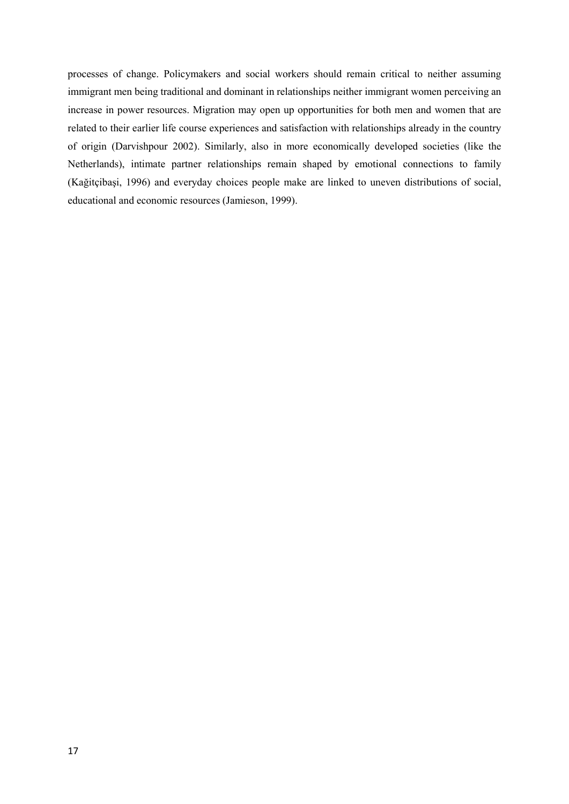processes of change. Policymakers and social workers should remain critical to neither assuming immigrant men being traditional and dominant in relationships neither immigrant women perceiving an increase in power resources. Migration may open up opportunities for both men and women that are related to their earlier life course experiences and satisfaction with relationships already in the country of origin (Darvishpour 2002). Similarly, also in more economically developed societies (like the Netherlands), intimate partner relationships remain shaped by emotional connections to family (Kağitçibaşi, 1996) and everyday choices people make are linked to uneven distributions of social, educational and economic resources (Jamieson, 1999).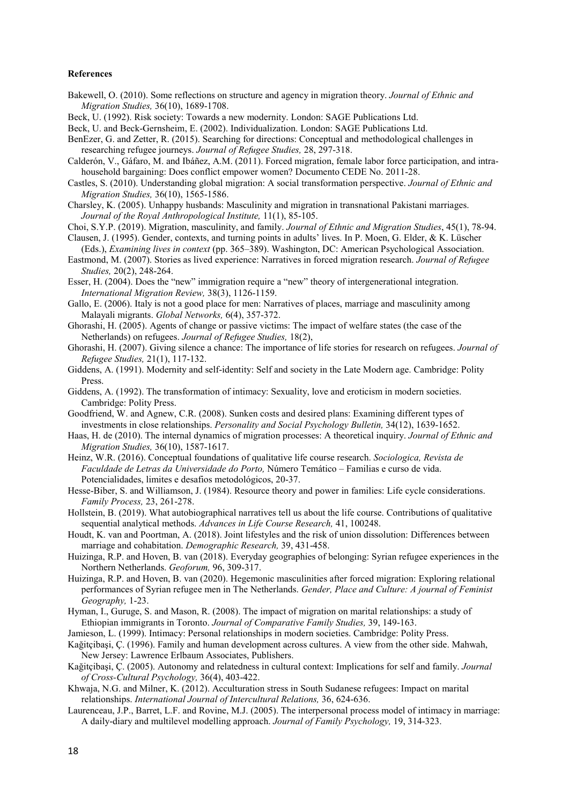#### **References**

- Bakewell, O. (2010). Some reflections on structure and agency in migration theory. *Journal of Ethnic and Migration Studies,* 36(10), 1689-1708.
- Beck, U. (1992). Risk society: Towards a new modernity. London: SAGE Publications Ltd.
- Beck, U. and Beck-Gernsheim, E. (2002). Individualization. London: SAGE Publications Ltd.
- BenEzer, G. and Zetter, R. (2015). Searching for directions: Conceptual and methodological challenges in researching refugee journeys. *Journal of Refugee Studies,* 28, 297-318.
- Calderón, V., Gáfaro, M. and Ibáñez, A.M. (2011). Forced migration, female labor force participation, and intrahousehold bargaining: Does conflict empower women? Documento CEDE No. 2011-28.
- Castles, S. (2010). Understanding global migration: A social transformation perspective. *Journal of Ethnic and Migration Studies,* 36(10), 1565-1586.
- Charsley, K. (2005). Unhappy husbands: Masculinity and migration in transnational Pakistani marriages. *Journal of the Royal Anthropological Institute,* 11(1), 85-105.

Choi, S.Y.P. (2019). Migration, masculinity, and family. *Journal of Ethnic and Migration Studies*, 45(1), 78-94.

- Clausen, J. (1995). Gender, contexts, and turning points in adults' lives. In P. Moen, G. Elder, & K. Lüscher (Eds.), *Examining lives in context* (pp. 365–389). Washington, DC: American Psychological Association. Eastmond, M. (2007). Stories as lived experience: Narratives in forced migration research. *Journal of Refugee*
- *Studies,* 20(2), 248-264.
- Esser, H. (2004). Does the "new" immigration require a "new" theory of intergenerational integration. *International Migration Review,* 38(3), 1126-1159.
- Gallo, E. (2006). Italy is not a good place for men: Narratives of places, marriage and masculinity among Malayali migrants. *Global Networks,* 6(4), 357-372.
- Ghorashi, H. (2005). Agents of change or passive victims: The impact of welfare states (the case of the Netherlands) on refugees. *Journal of Refugee Studies,* 18(2),
- Ghorashi, H. (2007). Giving silence a chance: The importance of life stories for research on refugees. *Journal of Refugee Studies,* 21(1), 117-132.
- Giddens, A. (1991). Modernity and self-identity: Self and society in the Late Modern age. Cambridge: Polity Press.
- Giddens, A. (1992). The transformation of intimacy: Sexuality, love and eroticism in modern societies. Cambridge: Polity Press.
- Goodfriend, W. and Agnew, C.R. (2008). Sunken costs and desired plans: Examining different types of investments in close relationships. *Personality and Social Psychology Bulletin,* 34(12), 1639-1652.
- Haas, H. de (2010). The internal dynamics of migration processes: A theoretical inquiry. *Journal of Ethnic and Migration Studies,* 36(10), 1587-1617.
- Heinz, W.R. (2016). Conceptual foundations of qualitative life course research. *Sociologica, Revista de Faculdade de Letras da Universidade do Porto,* Número Temático – Familias e curso de vida. Potencialidades, limites e desafios metodológicos, 20-37.
- Hesse-Biber, S. and Williamson, J. (1984). Resource theory and power in families: Life cycle considerations. *Family Process,* 23, 261-278.
- Hollstein, B. (2019). What autobiographical narratives tell us about the life course. Contributions of qualitative sequential analytical methods. *Advances in Life Course Research,* 41, 100248.
- Houdt, K. van and Poortman, A. (2018). Joint lifestyles and the risk of union dissolution: Differences between marriage and cohabitation. *Demographic Research,* 39, 431-458.
- Huizinga, R.P. and Hoven, B. van (2018). Everyday geographies of belonging: Syrian refugee experiences in the Northern Netherlands. *Geoforum,* 96, 309-317.
- Huizinga, R.P. and Hoven, B. van (2020). Hegemonic masculinities after forced migration: Exploring relational performances of Syrian refugee men in The Netherlands. *Gender, Place and Culture: A journal of Feminist Geography,* 1-23.
- Hyman, I., Guruge, S. and Mason, R. (2008). The impact of migration on marital relationships: a study of Ethiopian immigrants in Toronto. *Journal of Comparative Family Studies,* 39, 149-163.

Jamieson, L. (1999). Intimacy: Personal relationships in modern societies. Cambridge: Polity Press.

- Kağitçibaşi, Ç. (1996). Family and human development across cultures. A view from the other side. Mahwah, New Jersey: Lawrence Erlbaum Associates, Publishers.
- Kağitçibaşi, Ç. (2005). Autonomy and relatedness in cultural context: Implications for self and family. *Journal of Cross-Cultural Psychology,* 36(4), 403-422.
- Khwaja, N.G. and Milner, K. (2012). Acculturation stress in South Sudanese refugees: Impact on marital relationships. *International Journal of Intercultural Relations,* 36, 624-636.
- Laurenceau, J.P., Barret, L.F. and Rovine, M.J. (2005). The interpersonal process model of intimacy in marriage: A daily-diary and multilevel modelling approach. *Journal of Family Psychology,* 19, 314-323.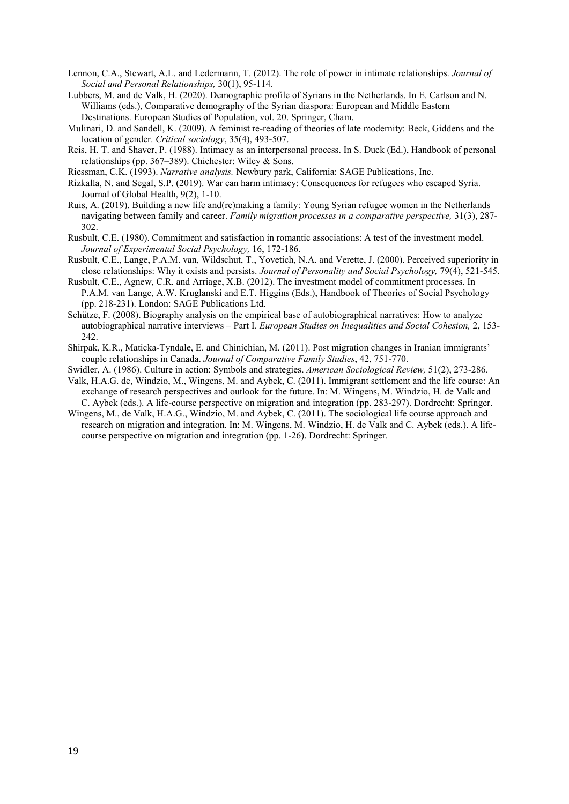- Lennon, C.A., Stewart, A.L. and Ledermann, T. (2012). The role of power in intimate relationships. *Journal of Social and Personal Relationships,* 30(1), 95-114.
- Lubbers, M. and de Valk, H. (2020). Demographic profile of Syrians in the Netherlands. In E. Carlson and N. Williams (eds.), Comparative demography of the Syrian diaspora: European and Middle Eastern Destinations. European Studies of Population, vol. 20. Springer, Cham.
- Mulinari, D. and Sandell, K. (2009). A feminist re-reading of theories of late modernity: Beck, Giddens and the location of gender. *Critical sociology*, 35(4), 493-507.
- Reis, H. T. and Shaver, P. (1988). Intimacy as an interpersonal process. In S. Duck (Ed.), Handbook of personal relationships (pp. 367–389). Chichester: Wiley & Sons.
- Riessman, C.K. (1993). *Narrative analysis.* Newbury park, California: SAGE Publications, Inc.
- Rizkalla, N. and Segal, S.P. (2019). War can harm intimacy: Consequences for refugees who escaped Syria. Journal of Global Health, 9(2), 1-10.
- Ruis, A. (2019). Building a new life and(re)making a family: Young Syrian refugee women in the Netherlands navigating between family and career. *Family migration processes in a comparative perspective,* 31(3), 287- 302.
- Rusbult, C.E. (1980). Commitment and satisfaction in romantic associations: A test of the investment model. *Journal of Experimental Social Psychology,* 16, 172-186.
- Rusbult, C.E., Lange, P.A.M. van, Wildschut, T., Yovetich, N.A. and Verette, J. (2000). Perceived superiority in close relationships: Why it exists and persists. *Journal of Personality and Social Psychology,* 79(4), 521-545.
- Rusbult, C.E., Agnew, C.R. and Arriage, X.B. (2012). The investment model of commitment processes. In P.A.M. van Lange, A.W. Kruglanski and E.T. Higgins (Eds.), Handbook of Theories of Social Psychology (pp. 218-231). London: SAGE Publications Ltd.
- Schütze, F. (2008). Biography analysis on the empirical base of autobiographical narratives: How to analyze autobiographical narrative interviews – Part I. *European Studies on Inequalities and Social Cohesion,* 2, 153- 242.
- Shirpak, K.R., Maticka-Tyndale, E. and Chinichian, M. (2011). Post migration changes in Iranian immigrants' couple relationships in Canada. *Journal of Comparative Family Studies*, 42, 751-770.
- Swidler, A. (1986). Culture in action: Symbols and strategies. *American Sociological Review,* 51(2), 273-286.
- Valk, H.A.G. de, Windzio, M., Wingens, M. and Aybek, C. (2011). Immigrant settlement and the life course: An exchange of research perspectives and outlook for the future. In: M. Wingens, M. Windzio, H. de Valk and C. Aybek (eds.). A life-course perspective on migration and integration (pp. 283-297). Dordrecht: Springer.
- Wingens, M., de Valk, H.A.G., Windzio, M. and Aybek, C. (2011). The sociological life course approach and research on migration and integration. In: M. Wingens, M. Windzio, H. de Valk and C. Aybek (eds.). A lifecourse perspective on migration and integration (pp. 1-26). Dordrecht: Springer.